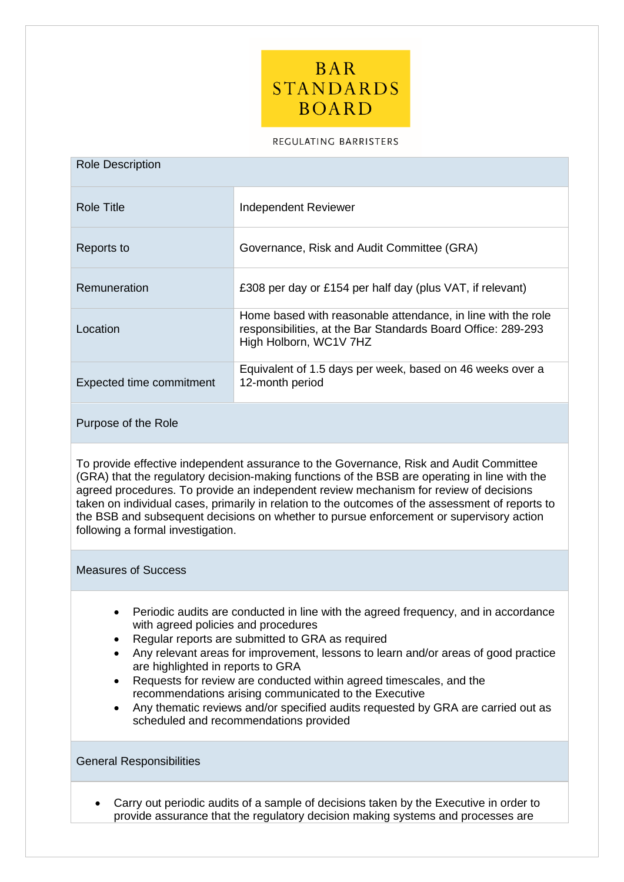

#### REGULATING BARRISTERS

| <b>Role Description</b>  |                                                                                                                                                        |  |  |
|--------------------------|--------------------------------------------------------------------------------------------------------------------------------------------------------|--|--|
| Role Title               | Independent Reviewer                                                                                                                                   |  |  |
| Reports to               | Governance, Risk and Audit Committee (GRA)                                                                                                             |  |  |
| Remuneration             | £308 per day or £154 per half day (plus VAT, if relevant)                                                                                              |  |  |
| Location                 | Home based with reasonable attendance, in line with the role<br>responsibilities, at the Bar Standards Board Office: 289-293<br>High Holborn, WC1V 7HZ |  |  |
| Expected time commitment | Equivalent of 1.5 days per week, based on 46 weeks over a<br>12-month period                                                                           |  |  |

### Purpose of the Role

To provide effective independent assurance to the Governance, Risk and Audit Committee (GRA) that the regulatory decision-making functions of the BSB are operating in line with the agreed procedures. To provide an independent review mechanism for review of decisions taken on individual cases, primarily in relation to the outcomes of the assessment of reports to the BSB and subsequent decisions on whether to pursue enforcement or supervisory action following a formal investigation.

## Measures of Success

- Periodic audits are conducted in line with the agreed frequency, and in accordance with agreed policies and procedures
- Regular reports are submitted to GRA as required
- Any relevant areas for improvement, lessons to learn and/or areas of good practice are highlighted in reports to GRA
- Requests for review are conducted within agreed timescales, and the recommendations arising communicated to the Executive
- Any thematic reviews and/or specified audits requested by GRA are carried out as scheduled and recommendations provided

### General Responsibilities

• Carry out periodic audits of a sample of decisions taken by the Executive in order to provide assurance that the regulatory decision making systems and processes are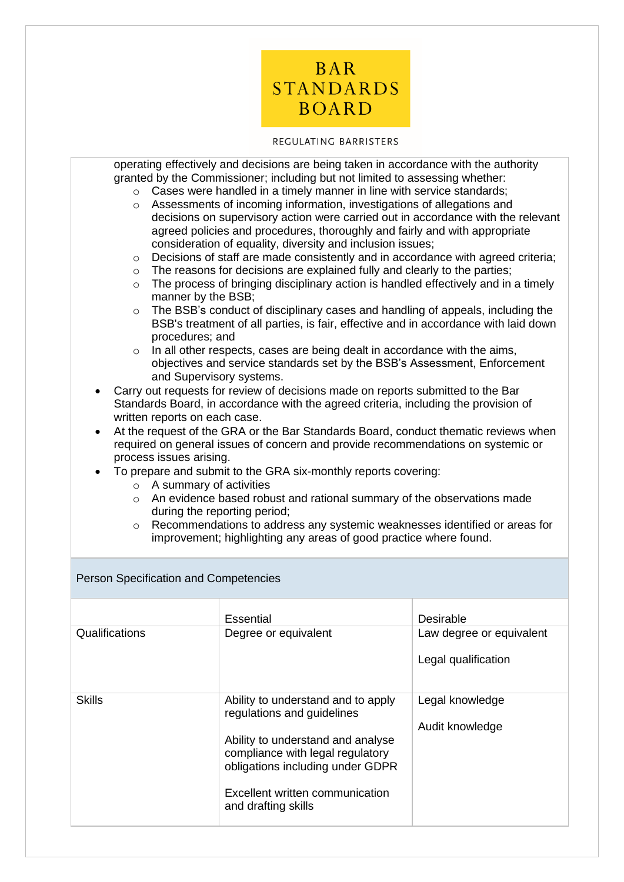

### REGULATING BARRISTERS

| $\circ$<br>$\circ$<br>$\circ$<br>$\circ$<br>$\circ$<br>manner by the BSB;<br>$\circ$<br>procedures; and<br>$\circ$<br>and Supervisory systems.                                       | granted by the Commissioner; including but not limited to assessing whether:<br>Cases were handled in a timely manner in line with service standards;<br>Assessments of incoming information, investigations of allegations and<br>decisions on supervisory action were carried out in accordance with the relevant<br>agreed policies and procedures, thoroughly and fairly and with appropriate<br>consideration of equality, diversity and inclusion issues;<br>Decisions of staff are made consistently and in accordance with agreed criteria;<br>The reasons for decisions are explained fully and clearly to the parties;<br>The process of bringing disciplinary action is handled effectively and in a timely<br>The BSB's conduct of disciplinary cases and handling of appeals, including the<br>BSB's treatment of all parties, is fair, effective and in accordance with laid down<br>In all other respects, cases are being dealt in accordance with the aims,<br>objectives and service standards set by the BSB's Assessment, Enforcement<br>Carry out requests for review of decisions made on reports submitted to the Bar |                          |  |  |
|--------------------------------------------------------------------------------------------------------------------------------------------------------------------------------------|----------------------------------------------------------------------------------------------------------------------------------------------------------------------------------------------------------------------------------------------------------------------------------------------------------------------------------------------------------------------------------------------------------------------------------------------------------------------------------------------------------------------------------------------------------------------------------------------------------------------------------------------------------------------------------------------------------------------------------------------------------------------------------------------------------------------------------------------------------------------------------------------------------------------------------------------------------------------------------------------------------------------------------------------------------------------------------------------------------------------------------------------|--------------------------|--|--|
| Standards Board, in accordance with the agreed criteria, including the provision of<br>written reports on each case.                                                                 |                                                                                                                                                                                                                                                                                                                                                                                                                                                                                                                                                                                                                                                                                                                                                                                                                                                                                                                                                                                                                                                                                                                                              |                          |  |  |
| At the request of the GRA or the Bar Standards Board, conduct thematic reviews when<br>$\bullet$<br>required on general issues of concern and provide recommendations on systemic or |                                                                                                                                                                                                                                                                                                                                                                                                                                                                                                                                                                                                                                                                                                                                                                                                                                                                                                                                                                                                                                                                                                                                              |                          |  |  |
| process issues arising.                                                                                                                                                              | To prepare and submit to the GRA six-monthly reports covering:                                                                                                                                                                                                                                                                                                                                                                                                                                                                                                                                                                                                                                                                                                                                                                                                                                                                                                                                                                                                                                                                               |                          |  |  |
| $\circ$ A summary of activities                                                                                                                                                      |                                                                                                                                                                                                                                                                                                                                                                                                                                                                                                                                                                                                                                                                                                                                                                                                                                                                                                                                                                                                                                                                                                                                              |                          |  |  |
| An evidence based robust and rational summary of the observations made<br>$\circ$<br>during the reporting period;                                                                    |                                                                                                                                                                                                                                                                                                                                                                                                                                                                                                                                                                                                                                                                                                                                                                                                                                                                                                                                                                                                                                                                                                                                              |                          |  |  |
| Recommendations to address any systemic weaknesses identified or areas for<br>$\circ$                                                                                                |                                                                                                                                                                                                                                                                                                                                                                                                                                                                                                                                                                                                                                                                                                                                                                                                                                                                                                                                                                                                                                                                                                                                              |                          |  |  |
| improvement; highlighting any areas of good practice where found.                                                                                                                    |                                                                                                                                                                                                                                                                                                                                                                                                                                                                                                                                                                                                                                                                                                                                                                                                                                                                                                                                                                                                                                                                                                                                              |                          |  |  |
| Person Specification and Competencies                                                                                                                                                |                                                                                                                                                                                                                                                                                                                                                                                                                                                                                                                                                                                                                                                                                                                                                                                                                                                                                                                                                                                                                                                                                                                                              |                          |  |  |
|                                                                                                                                                                                      | <b>Essential</b>                                                                                                                                                                                                                                                                                                                                                                                                                                                                                                                                                                                                                                                                                                                                                                                                                                                                                                                                                                                                                                                                                                                             | Desirable                |  |  |
| Qualifications                                                                                                                                                                       |                                                                                                                                                                                                                                                                                                                                                                                                                                                                                                                                                                                                                                                                                                                                                                                                                                                                                                                                                                                                                                                                                                                                              |                          |  |  |
|                                                                                                                                                                                      | Degree or equivalent                                                                                                                                                                                                                                                                                                                                                                                                                                                                                                                                                                                                                                                                                                                                                                                                                                                                                                                                                                                                                                                                                                                         | Law degree or equivalent |  |  |
|                                                                                                                                                                                      |                                                                                                                                                                                                                                                                                                                                                                                                                                                                                                                                                                                                                                                                                                                                                                                                                                                                                                                                                                                                                                                                                                                                              | Legal qualification      |  |  |
|                                                                                                                                                                                      |                                                                                                                                                                                                                                                                                                                                                                                                                                                                                                                                                                                                                                                                                                                                                                                                                                                                                                                                                                                                                                                                                                                                              |                          |  |  |
| <b>Skills</b>                                                                                                                                                                        | Ability to understand and to apply                                                                                                                                                                                                                                                                                                                                                                                                                                                                                                                                                                                                                                                                                                                                                                                                                                                                                                                                                                                                                                                                                                           | Legal knowledge          |  |  |
|                                                                                                                                                                                      | regulations and guidelines                                                                                                                                                                                                                                                                                                                                                                                                                                                                                                                                                                                                                                                                                                                                                                                                                                                                                                                                                                                                                                                                                                                   | Audit knowledge          |  |  |
|                                                                                                                                                                                      | Ability to understand and analyse<br>compliance with legal regulatory                                                                                                                                                                                                                                                                                                                                                                                                                                                                                                                                                                                                                                                                                                                                                                                                                                                                                                                                                                                                                                                                        |                          |  |  |
|                                                                                                                                                                                      | obligations including under GDPR                                                                                                                                                                                                                                                                                                                                                                                                                                                                                                                                                                                                                                                                                                                                                                                                                                                                                                                                                                                                                                                                                                             |                          |  |  |